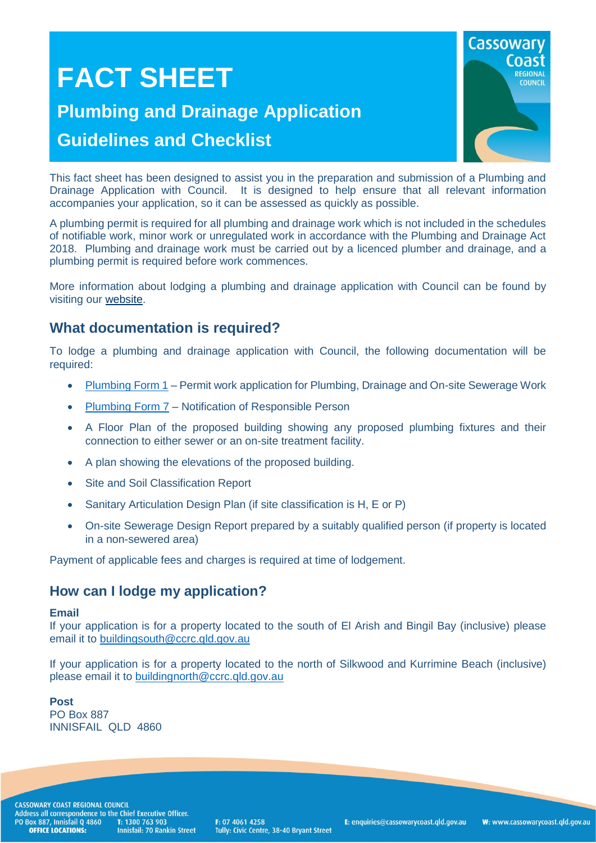# **FACT SHEET**

## **Plumbing and Drainage Application Guidelines and Checklist**



This fact sheet has been designed to assist you in the preparation and submission of a Plumbing and Drainage Application with Council. It is designed to help ensure that all relevant information accompanies your application, so it can be assessed as quickly as possible.

A plumbing permit is required for all plumbing and drainage work which is not included in the schedules of notifiable work, minor work or unregulated work in accordance with the Plumbing and Drainage Act 2018. Plumbing and drainage work must be carried out by a licenced plumber and drainage, and a plumbing permit is required before work commences.

More information about lodging a plumbing and drainage application with Council can be found by visiting our [website.](http://www.cassowarycoast.qld.gov.au/lodging-a-plumbing-drainage-application)

### **What documentation is required?**

To lodge a plumbing and drainage application with Council, the following documentation will be required:

- [Plumbing Form 1](https://www.business.qld.gov.au/industries/building-property-development/building-construction/plumbing-drainage/forms-templates) Permit work application for Plumbing, Drainage and On-site Sewerage Work
- [Plumbing Form 7](https://www.business.qld.gov.au/industries/building-property-development/building-construction/plumbing-drainage/forms-templates) Notification of Responsible Person
- A Floor Plan of the proposed building showing any proposed plumbing fixtures and their connection to either sewer or an on-site treatment facility.
- A plan showing the elevations of the proposed building.
- Site and Soil Classification Report
- Sanitary Articulation Design Plan (if site classification is H, E or P)
- On-site Sewerage Design Report prepared by a suitably qualified person (if property is located in a non-sewered area)

Payment of applicable fees and charges is required at time of lodgement.

### **How can I lodge my application?**

#### **Email**

If your application is for a property located to the south of El Arish and Bingil Bay (inclusive) please email it to [buildingsouth@ccrc.qld.gov.au](mailto:buildingsouth@ccrc.qld.gov.au)

If your application is for a property located to the north of Silkwood and Kurrimine Beach (inclusive) please email it to [buildingnorth@ccrc.qld.gov.au](mailto:buildingnorth@ccrc.qld.gov.au)

**Post** PO Box 887 INNISFAIL QLD 4860

**CASSOWARY COAST REGIONAL COUNCIL** Exposition Correspondence to the Chief Executive Officer.<br>PO Box 887, Innisfail Q 4860 T: 1300 763 903<br>**OFFICE LOCATIONS:** Innisfail: 70 Rankin Stre **Innisfail: 70 Rankin Street** 

F: 07 4061 4258 Tully: Civic Centre, 38-40 Bryant Street E: enquiries@cassowarycoast.qld.gov.au

W: www.cassowarycoast.qld.gov.au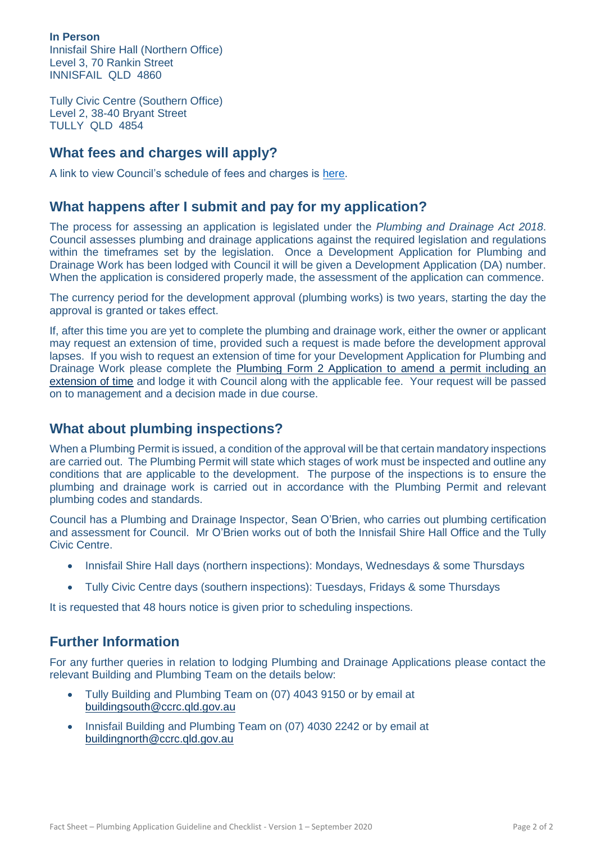**In Person** Innisfail Shire Hall (Northern Office) Level 3, 70 Rankin Street INNISFAIL QLD 4860

Tully Civic Centre (Southern Office) Level 2, 38-40 Bryant Street TULLY QLD 4854

### **What fees and charges will apply?**

A link to view Council's schedule of fees and charges is [here.](http://www.cassowarycoast.qld.gov.au/fees-and-charges)

#### **What happens after I submit and pay for my application?**

The process for assessing an application is legislated under the *Plumbing and Drainage Act 2018*. Council assesses plumbing and drainage applications against the required legislation and regulations within the timeframes set by the legislation. Once a Development Application for Plumbing and Drainage Work has been lodged with Council it will be given a Development Application (DA) number. When the application is considered properly made, the assessment of the application can commence.

The currency period for the development approval (plumbing works) is two years, starting the day the approval is granted or takes effect.

If, after this time you are yet to complete the plumbing and drainage work, either the owner or applicant may request an extension of time, provided such a request is made before the development approval lapses. If you wish to request an extension of time for your Development Application for Plumbing and Drainage Work please complete the [Plumbing Form 2 Application to amend a permit including an](https://www.business.qld.gov.au/industries/building-property-development/building-construction/plumbing-drainage/forms-templates)  [extension of time](https://www.business.qld.gov.au/industries/building-property-development/building-construction/plumbing-drainage/forms-templates) and lodge it with Council along with the applicable fee. Your request will be passed on to management and a decision made in due course.

#### **What about plumbing inspections?**

When a Plumbing Permit is issued, a condition of the approval will be that certain mandatory inspections are carried out. The Plumbing Permit will state which stages of work must be inspected and outline any conditions that are applicable to the development. The purpose of the inspections is to ensure the plumbing and drainage work is carried out in accordance with the Plumbing Permit and relevant plumbing codes and standards.

Council has a Plumbing and Drainage Inspector, Sean O'Brien, who carries out plumbing certification and assessment for Council. Mr O'Brien works out of both the Innisfail Shire Hall Office and the Tully Civic Centre.

- Innisfail Shire Hall days (northern inspections): Mondays, Wednesdays & some Thursdays
- Tully Civic Centre days (southern inspections): Tuesdays, Fridays & some Thursdays

It is requested that 48 hours notice is given prior to scheduling inspections.

### **Further Information**

For any further queries in relation to lodging Plumbing and Drainage Applications please contact the relevant Building and Plumbing Team on the details below:

- Tully Building and Plumbing Team on (07) 4043 9150 or by email at [buildingsouth@ccrc.qld.gov.au](mailto:buildingsouth@ccrc.qld.gov.au)
- Innisfail Building and Plumbing Team on (07) 4030 2242 or by email at [buildingnorth@ccrc.qld.gov.au](mailto:buildingnorth@ccrc.qld.gov.au)